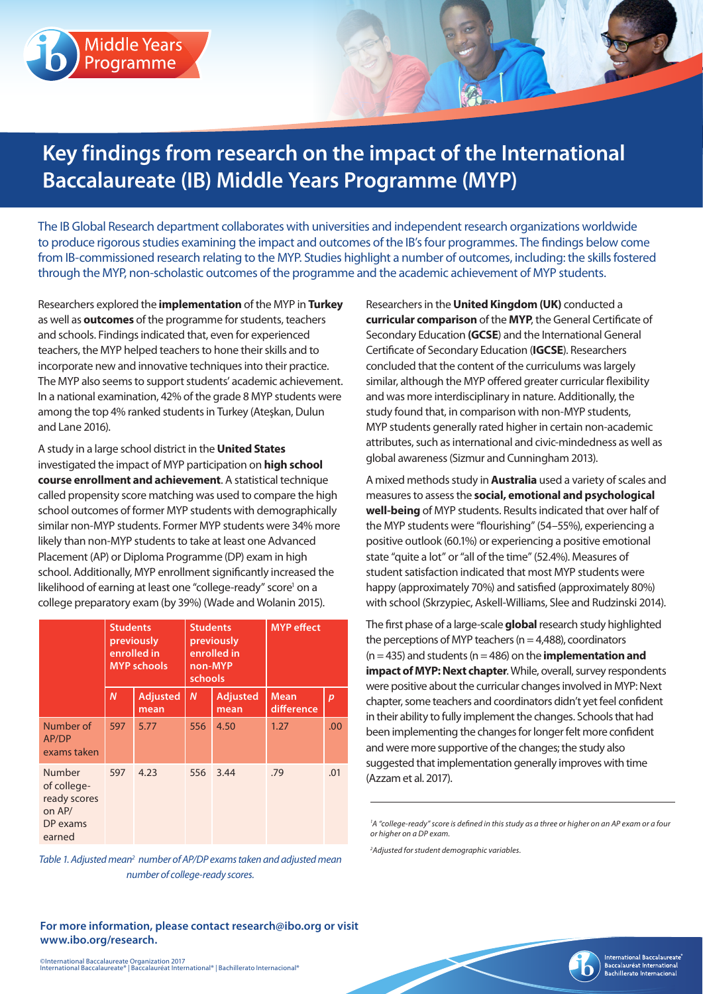## **Middle Years** Programme

# **Key findings from research on the impact of the International Baccalaureate (IB) Middle Years Programme (MYP)**

The IB Global Research department collaborates with universities and independent research organizations worldwide to produce rigorous studies examining the impact and outcomes of the IB's four programmes. The findings below come from IB-commissioned research relating to the MYP. Studies highlight a number of outcomes, including: the skills fostered through the MYP, non-scholastic outcomes of the programme and the academic achievement of MYP students.

Researchers explored the **implementation** of the MYP in **Turkey** as well as **outcomes** of the programme for students, teachers and schools. Findings indicated that, even for experienced teachers, the MYP helped teachers to hone their skills and to incorporate new and innovative techniques into their practice. The MYP also seems to support students' academic achievement. In a national examination, 42% of the grade 8 MYP students were among the top 4% ranked students in Turkey (Ateşkan, Dulun and Lane 2016).

A study in a large school district in the **United States** investigated the impact of MYP participation on **high school course enrollment and achievement**. A statistical technique called propensity score matching was used to compare the high school outcomes of former MYP students with demographically similar non-MYP students. Former MYP students were 34% more likely than non-MYP students to take at least one Advanced Placement (AP) or Diploma Programme (DP) exam in high school. Additionally, MYP enrollment significantly increased the likelihood of earning at least one "college-ready" score<sup>1</sup> on a college preparatory exam (by 39%) (Wade and Wolanin 2015).

|                                                                       | <b>Students</b><br>previously<br>enrolled in<br><b>MYP schools</b> |                         | <b>Students</b><br>previously<br>enrolled in<br>non-MYP<br>schools |                         | <b>MYP</b> effect         |                  |
|-----------------------------------------------------------------------|--------------------------------------------------------------------|-------------------------|--------------------------------------------------------------------|-------------------------|---------------------------|------------------|
|                                                                       | $\overline{N}$                                                     | <b>Adjusted</b><br>mean | $\boldsymbol{N}$                                                   | <b>Adjusted</b><br>mean | <b>Mean</b><br>difference | $\boldsymbol{p}$ |
| Number of<br>AP/DP<br>exams taken                                     | 597                                                                | 5.77                    | 556                                                                | 4.50                    | 1.27                      | .00.             |
| Number<br>of college-<br>ready scores<br>on AP/<br>DP exams<br>earned | 597                                                                | 4.23                    | 556                                                                | 3.44                    | .79                       | .01              |

Table 1. Adjusted mean<sup>2</sup> number of AP/DP exams taken and adjusted mean *number of college-ready scores.*

**For more information, please contact research@ibo.org or visit www.ibo.org/research.**

Researchers in the **United Kingdom (UK)** conducted a **curricular comparison** of the **MYP**, the General Certificate of Secondary Education **(GCSE**) and the International General Certificate of Secondary Education (**IGCSE**). Researchers concluded that the content of the curriculums was largely similar, although the MYP offered greater curricular flexibility and was more interdisciplinary in nature. Additionally, the study found that, in comparison with non-MYP students, MYP students generally rated higher in certain non-academic attributes, such as international and civic-mindedness as well as global awareness (Sizmur and Cunningham 2013).

A mixed methods study in **Australia** used a variety of scales and measures to assess the **social, emotional and psychological well-being** of MYP students. Results indicated that over half of the MYP students were "flourishing" (54–55%), experiencing a positive outlook (60.1%) or experiencing a positive emotional state "quite a lot" or "all of the time" (52.4%). Measures of student satisfaction indicated that most MYP students were happy (approximately 70%) and satisfied (approximately 80%) with school (Skrzypiec, Askell-Williams, Slee and Rudzinski 2014).

The first phase of a large-scale **global** research study highlighted the perceptions of MYP teachers ( $n = 4,488$ ), coordinators (n = 435) and students (n = 486) on the **implementation and impact of MYP: Next chapter**. While, overall, survey respondents were positive about the curricular changes involved in MYP: Next chapter, some teachers and coordinators didn't yet feel confident in their ability to fully implement the changes. Schools that had been implementing the changes for longer felt more confident and were more supportive of the changes; the study also suggested that implementation generally improves with time (Azzam et al. 2017).

*2 Adjusted for student demographic variables.*



<sup>&</sup>lt;sup>1</sup>A "college-ready" score is defined in this study as a three or higher on an AP exam or a four *or higher on a DP exam.*